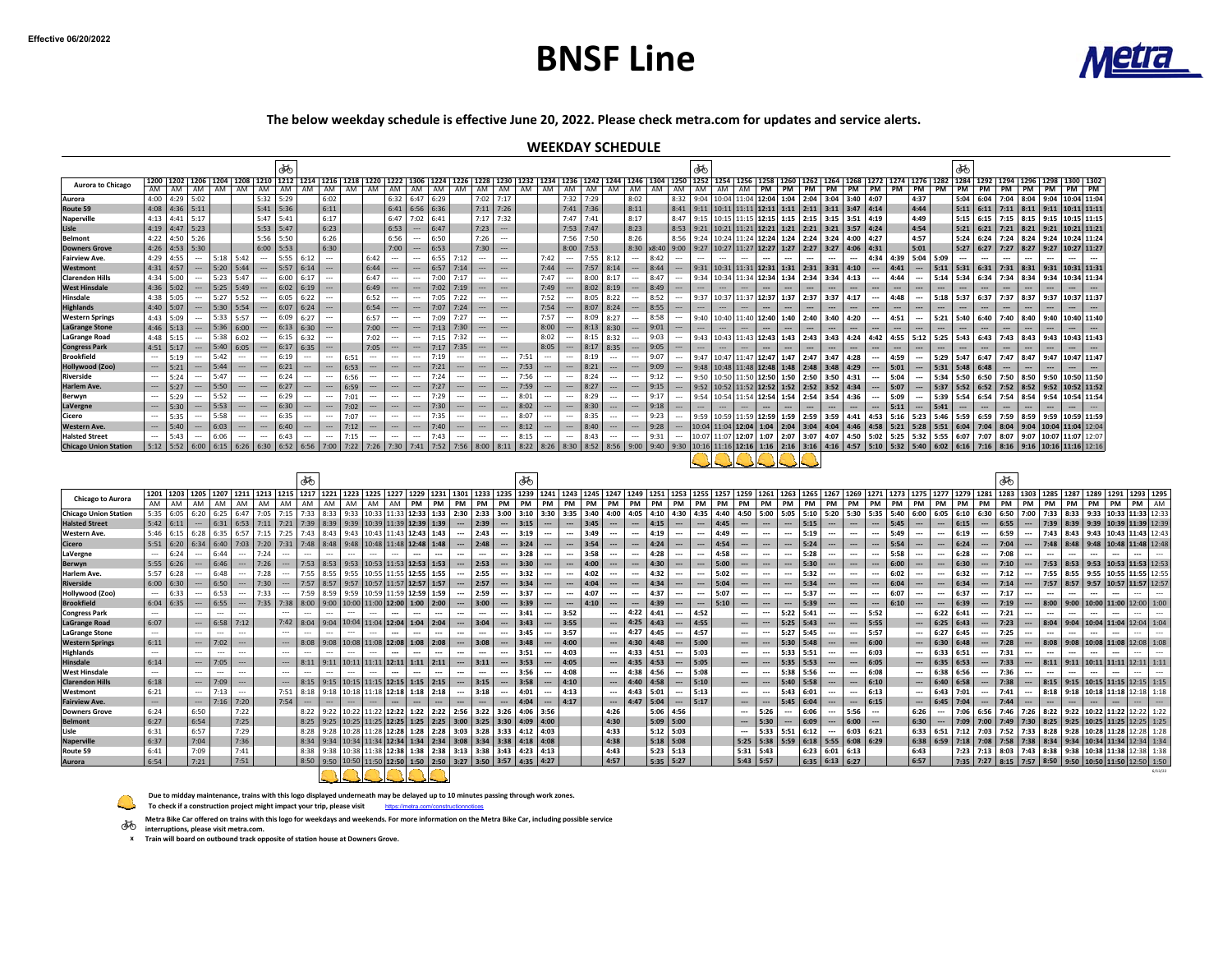## **BNSF Line**



**The below weekday schedule is effective June 20, 2022. Please check metra.com for updates and service alerts.**

#### **WEEKDAY SCHEDULE**

|                                                       |                          |                     |                                  |              |                                    |                                 | ණ්                       |                          |                                       |          |                          |                          |                                                                                                                                  |              |                          |                                                     |                                                      |              |                                      |                                                                                    |                                                                                                                                                                                                                                 |                          |                            |                                    | ණ්                       |                  |                                    |                                       |                              |                                       |                                                                                |                                                      |                                       |                                                                                                                                                                                                                                           |                          |                                      | ණ්           |                                      |          |                                             |                          |                          |           |                                    |                                                                                                              |
|-------------------------------------------------------|--------------------------|---------------------|----------------------------------|--------------|------------------------------------|---------------------------------|--------------------------|--------------------------|---------------------------------------|----------|--------------------------|--------------------------|----------------------------------------------------------------------------------------------------------------------------------|--------------|--------------------------|-----------------------------------------------------|------------------------------------------------------|--------------|--------------------------------------|------------------------------------------------------------------------------------|---------------------------------------------------------------------------------------------------------------------------------------------------------------------------------------------------------------------------------|--------------------------|----------------------------|------------------------------------|--------------------------|------------------|------------------------------------|---------------------------------------|------------------------------|---------------------------------------|--------------------------------------------------------------------------------|------------------------------------------------------|---------------------------------------|-------------------------------------------------------------------------------------------------------------------------------------------------------------------------------------------------------------------------------------------|--------------------------|--------------------------------------|--------------|--------------------------------------|----------|---------------------------------------------|--------------------------|--------------------------|-----------|------------------------------------|--------------------------------------------------------------------------------------------------------------|
| <b>Aurora to Chicago</b>                              |                          |                     |                                  |              |                                    |                                 |                          |                          |                                       |          |                          |                          |                                                                                                                                  |              |                          |                                                     |                                                      |              |                                      |                                                                                    | 1200 1202 1204 1203 1210 1212 1214 1215 1218 1219 1212 1218 1220 1222 1306 1222 1306 1224 1226 1228 1230 1232 1234 1235 1242 124 1246 1304 1250 1252 1254 1250 1252 1254 1250 1262 1264 1229 1234 1239 1264 1216 1208 1202 1274 |                          |                            |                                    |                          |                  |                                    |                                       |                              |                                       | PM                                                                             |                                                      |                                       | PM PM PM PM PM PM                                                                                                                                                                                                                         |                          |                                      |              |                                      |          | PM PM PM PM                                 |                          | PM                       | PM        |                                    |                                                                                                              |
| Aurora                                                |                          |                     | 4:00 4:29 5:02                   |              |                                    |                                 | $5:32$ 5:29              |                          | 6:02                                  |          |                          |                          | 6:32 6:47 6:29                                                                                                                   |              |                          | 7:02 7:17                                           |                                                      |              |                                      | 7:32 7:29                                                                          |                                                                                                                                                                                                                                 | 8:02                     |                            |                                    |                          |                  |                                    |                                       |                              |                                       | 8:32 9:04 10:04 11:04 12:04 1:04 2:04 3:04 3:40 4:07                           |                                                      |                                       |                                                                                                                                                                                                                                           | 4:37                     |                                      |              |                                      |          | 5:04 6:04 7:04 8:04 9:04 10:04 11:04        |                          |                          |           |                                    |                                                                                                              |
| Route 59                                              |                          |                     | 4:08 4:36 5:11                   |              |                                    | 5:41                            | 5:36                     |                          | 6:11                                  |          |                          |                          | $6:41$ 6:56 6:36                                                                                                                 |              |                          | $7:11$ 7:26                                         |                                                      |              |                                      | $7:41$ 7:36                                                                        |                                                                                                                                                                                                                                 | 8:11                     |                            |                                    |                          |                  |                                    |                                       |                              |                                       | 8:41 9:11 10:11 11:11 12:11 1:11 2:11 3:11 3:47 4:14                           |                                                      |                                       |                                                                                                                                                                                                                                           | 4:44                     |                                      |              |                                      |          | $5:11$ 6:11 7:11 8:11 9:11 10:11 11:11      |                          |                          |           |                                    |                                                                                                              |
| <b>Naperville</b>                                     |                          |                     | $4:13$ 4:41 5:17                 |              |                                    | 5:47                            | 5:41                     |                          | 6:17                                  |          |                          | 6:47                     | 7:02                                                                                                                             | 6:41         |                          | 7:17                                                | 7:32                                                 |              |                                      | $7:47$ 7:41                                                                        |                                                                                                                                                                                                                                 | 8:17                     |                            | 8:47                               |                          |                  |                                    |                                       |                              |                                       | $9:15$   10:15   11:15   12:15   1:15   2:15   3:15   3:51   4:19              |                                                      |                                       |                                                                                                                                                                                                                                           | 4:49                     |                                      | 5:15         | 6:15                                 |          | 7:15 8:15 9:15 10:15 11:15                  |                          |                          |           |                                    |                                                                                                              |
| Lisle                                                 |                          |                     | $4:19$ 4:47 5:23                 |              |                                    | 5:53                            | 5:47                     |                          | 6:23                                  |          |                          | 6:53                     | $\overline{\phantom{a}}$                                                                                                         | 6:47         |                          | 7:23                                                | $\ldots$                                             |              |                                      | 7:53 7:47                                                                          |                                                                                                                                                                                                                                 | 8:23                     |                            | 8:53                               |                          |                  |                                    |                                       |                              |                                       | 9:21   10:21   11:21   12:21   1:21   2:21   3:21   3:57   4:24                |                                                      |                                       |                                                                                                                                                                                                                                           | 4:54                     |                                      | 5:21         | 6:21                                 |          | 7:21 8:21 9:21 10:21 11:21                  |                          |                          |           |                                    |                                                                                                              |
| <b>Belmont</b>                                        |                          | 4:22 4:50           | 5:26                             |              |                                    | 5:56                            | 5:50                     |                          | 6:26                                  |          |                          | 6:56                     | $\overline{\phantom{a}}$                                                                                                         | 6:50         |                          | 7:26                                                | $\ldots$                                             |              |                                      | 7:56 7:50                                                                          |                                                                                                                                                                                                                                 | 8:26                     |                            | 8:56                               |                          |                  |                                    |                                       |                              |                                       | 9:24   10:24   11:24   12:24   1:24   2:24   3:24   4:00                       |                                                      | 4:27                                  |                                                                                                                                                                                                                                           | 4:57                     |                                      | 5:24         | 6:24                                 |          | 7:24 8:24 9:24 10:24 11:24                  |                          |                          |           |                                    |                                                                                                              |
| <b>Downers Grove</b>                                  |                          |                     | $4:26$ 4:53 5:30                 |              |                                    | 6:00                            | 5:53                     |                          | 6:30                                  |          |                          | 7:00                     | $\overline{\phantom{m}}$                                                                                                         | 6:53         |                          | 7:30                                                | $\ldots$                                             |              |                                      | $8:00$ 7:53                                                                        |                                                                                                                                                                                                                                 |                          |                            |                                    |                          |                  |                                    |                                       |                              |                                       | 8:30   x8:40   9:00   9:27   10:27   11:27   12:27   1:27   2:27   3:27   4:06 |                                                      | 4:31                                  |                                                                                                                                                                                                                                           | 5:01                     |                                      |              |                                      |          | 5:27 6:27 7:27 8:27 9:27 10:27 11:27        |                          |                          |           |                                    |                                                                                                              |
| <b>Fairview Ave.</b>                                  | 4:29                     | 4:55                | $\sim$                           |              | $5:18$ 5:42                        | $\ldots$                        |                          | $5:55$ 6:12              | $\ldots$                              |          | 6:42                     | $\overline{\phantom{a}}$ | ---                                                                                                                              | $6:55$ 7:12  |                          | $\ldots$                                            | $\ldots$                                             |              | 7:42                                 | $\sim$                                                                             | 7:55<br>8:12                                                                                                                                                                                                                    | $\sim$                   | 8:42                       | $\sim$                             | $\sim$                   | $\sim$           | $\sim$                             | $\cdots$                              | $\sim$                       | $\ldots$                              |                                                                                |                                                      |                                       | 4:34 4:39 5:04 5:09                                                                                                                                                                                                                       |                          |                                      | $\sim$       | $\ldots$                             | $\cdots$ | $\cdots$                                    |                          | $\cdots$<br>$\sim$       | $\sim$    |                                    |                                                                                                              |
| Westmont                                              |                          | $4:31$ 4:57         | $\hspace{0.1em} \ldots$          |              | $5:20$ 5:44                        | $\ldots$                        | $5:57$ 6:14              |                          | $\ldots$                              |          | 6:44                     |                          | ---                                                                                                                              | 6:57         | 7:14                     | $\cdots$                                            | $\ldots$                                             |              | 7:44                                 | $\hspace{0.05cm} \cdots$                                                           | 7:57<br>8:14                                                                                                                                                                                                                    |                          | 8:44                       |                                    |                          |                  |                                    |                                       |                              |                                       | 9:31   10:31   11:31   12:31   1:31   2:31   3:31   4:10                       |                                                      | $\cdots$                              | 4:41                                                                                                                                                                                                                                      | $\ldots$                 |                                      |              |                                      |          | $5:11$ 5:31 6:31 7:31 8:31 9:31 10:31 11:31 |                          |                          |           |                                    |                                                                                                              |
| <b>Clarendon Hills</b><br><b>West Hinsdale</b>        | 4:34                     | 5:00<br>$4:36$ 5:02 | $-$<br>$\hspace{0.1em} \ldots$   | 5:23         | 5:47<br>$5:25$ 5:49                | Щ.                              | 6:00<br>$6:02$ 6:19      | 6:17                     | $\ddotsc$<br>$\overline{\phantom{a}}$ |          | 6:47<br>6:49             |                          | $\overline{\phantom{a}}$<br>$\ldots$                                                                                             | 7:00<br>7:02 | 7:17<br>7:19             | $\overline{\phantom{a}}$<br>$\hspace{0.05cm}\ldots$ | ---<br>$\ldots$                                      |              | 7:47<br>7:49                         | $\cdots$<br>$\hspace{0.05cm} \cdots$                                               | 8:00<br>8:17<br>8:02<br>8:19                                                                                                                                                                                                    |                          | 8:47<br>8:49               |                                    | $\overline{\phantom{a}}$ |                  |                                    |                                       |                              | 9:34 10:34 11:34 12:34 1:34 2:34 3:34 |                                                                                | 4:13<br>                                             |                                       | 4:44<br>$\overline{\phantom{a}}$                                                                                                                                                                                                          |                          | 5:14<br>$\sim$                       | 5:34         | 6:34<br>$\overline{\phantom{a}}$     | 7:34     | 8:34                                        |                          | 9:34 10:34 11:34         |           |                                    |                                                                                                              |
| Hinsdale                                              | 4:38                     | 5:05                |                                  | 5:27         | 5:52                               |                                 | 6:05                     | 6:22                     | $\sim$                                |          | 6:52                     |                          |                                                                                                                                  | 7:05         | 7:22                     |                                                     |                                                      |              | 7:52                                 | $\overline{\phantom{a}}$                                                           | 8:05<br>8:22                                                                                                                                                                                                                    |                          | 8:52                       |                                    |                          |                  | 9:37   10:37   11:37   12:37       |                                       |                              | 1:37 2:37                             | 3:37                                                                           | 4:17                                                 |                                       | 4:48                                                                                                                                                                                                                                      | $\sim$                   | 5:18                                 | 5:37         | 6:37                                 | 7:37     | 8:37                                        |                          | 9:37 10:37 11:37         |           |                                    |                                                                                                              |
| <b>Highlands</b>                                      | 4:40                     | 5:07                |                                  | 5:30         | 5:54                               |                                 |                          | $6:07$ 6:24              | $\cdots$                              |          | 6:54                     |                          | ш.                                                                                                                               | 7:07         | 7:24                     |                                                     |                                                      |              | 7:54                                 |                                                                                    | 8:07<br>8:24                                                                                                                                                                                                                    |                          | 8:55                       |                                    |                          |                  |                                    |                                       |                              |                                       |                                                                                |                                                      |                                       |                                                                                                                                                                                                                                           |                          |                                      |              |                                      |          |                                             |                          |                          |           |                                    |                                                                                                              |
| <b>Western Springs</b>                                | 4:43                     | 5:09                | $\overline{\phantom{a}}$         | 5:33         | 5:57                               | $\sim$                          | 6:09                     | 6:27                     | $\overline{\phantom{a}}$              |          | 6:57                     | $\sim$                   | $\overline{\phantom{a}}$                                                                                                         | 7:09         | 7:27                     | $\sim$                                              | $\sim$                                               |              | 7:57                                 | $\sim$                                                                             | 8:09<br>8:27                                                                                                                                                                                                                    |                          | 8:58                       | $\cdots$                           | 9:40                     |                  | 10:40 11:40 12:40                  |                                       | 1:40                         | 2:40                                  | 3:40                                                                           | 4:20                                                 |                                       | 4:51                                                                                                                                                                                                                                      |                          | 5:21                                 | 5:40         | 6:40                                 | 7:40     | 8:40                                        |                          | 9:40 10:40 11:40         |           |                                    |                                                                                                              |
| <b>LaGrange Stone</b>                                 |                          | $4:46$ 5:13         | $\ldots$                         |              | $5:36$ 6:00                        |                                 | $6:13$ 6:30              |                          | $\ldots$                              |          | 7:00                     | ---                      | $\ldots$                                                                                                                         | 7:13         | 7:30                     |                                                     | $\ldots$                                             |              | 8:00                                 | $\cdots$                                                                           | 8:13<br>8:30                                                                                                                                                                                                                    |                          | 9:01                       |                                    | $\ldots$                 |                  | $\hspace{0.05cm} \ldots$           |                                       |                              |                                       | ---                                                                            |                                                      |                                       | $\ldots$                                                                                                                                                                                                                                  |                          | ---                                  |              | $\ldots$                             |          |                                             |                          |                          |           |                                    |                                                                                                              |
| LaGrange Road                                         | 4:48                     | 5:15                | $-$                              | 5:38         | 6:02                               |                                 | 6:15 6:32                |                          | $\ddotsc$                             |          | 7:02                     | ---                      | $\overline{\phantom{a}}$                                                                                                         | 7:15         | 7:32                     |                                                     | ---                                                  |              | 8:02                                 | $\sim$ $\sim$                                                                      | 8:15<br>8:32                                                                                                                                                                                                                    |                          | 9:03                       | $\cdots$                           |                          |                  |                                    |                                       |                              | 9:43 10:43 11:43 12:43 1:43 2:43 3:43 |                                                                                | 4:24                                                 | 4:42                                  | 4:55                                                                                                                                                                                                                                      | 5:12                     | 5:25                                 | 5:43         | 6:43                                 | 7:43     | 8:43                                        |                          | 9:43 10:43 11:43         |           |                                    |                                                                                                              |
| <b>Congress Park</b>                                  |                          | $4:51$ 5:17         | $\sim$                           |              | $5:40$ 6:05                        |                                 | $6:17$ 6:35              |                          | $\overline{\phantom{a}}$              |          | 7:05                     | $\ldots$                 | ---                                                                                                                              |              | $7:17$ 7:35              |                                                     |                                                      |              | 8:05                                 | $\cdots$                                                                           | 8:17<br>8:35                                                                                                                                                                                                                    |                          | 9:05                       |                                    | $\sim$                   |                  |                                    | $\sim$                                | $\sim$                       |                                       |                                                                                |                                                      |                                       | $\overline{\phantom{a}}$                                                                                                                                                                                                                  |                          |                                      |              | $\sim$                               |          |                                             |                          |                          |           |                                    |                                                                                                              |
| <b>Brookfield</b>                                     | $\sim$                   | 5:19                |                                  | 5:42         | $\sim$                             | $\sim$                          | 6:19                     | $\overline{\phantom{a}}$ | $\ldots$                              | 6:51     | $\ldots$                 | $\overline{\phantom{a}}$ | $\sim$                                                                                                                           | 7:19         | $\sim$                   | $\sim$                                              | $\sim$                                               | 7:51         | $\sim$                               | $\sim$                                                                             | 8:19                                                                                                                                                                                                                            |                          | 9:07                       |                                    |                          |                  |                                    |                                       |                              | 9:47 10:47 11:47 12:47 1:47 2:47 3:47 |                                                                                | 4:28                                                 |                                       | 4:59                                                                                                                                                                                                                                      | $\ldots$                 | 5:29 5:47                            |              | 6:47                                 | 7:47     |                                             |                          | 8:47 9:47 10:47 11:47    |           |                                    |                                                                                                              |
| Hollywood (Zoo)                                       | $\cdots$                 | 5:21                | $\cdots$                         | 5:44         | $\hspace{0.05cm} \ldots$           | $\overline{\phantom{a}}$        | 6:21                     | $\ldots$                 | $\ldots$                              | 6:53     | ---                      |                          | $\ldots$                                                                                                                         | 7:21         | $\overline{\phantom{a}}$ | $\hspace{0.05cm} \cdots$                            |                                                      | 7:53         | $\cdots$                             | $\overline{\phantom{a}}$                                                           | 8:21                                                                                                                                                                                                                            | $\overline{\phantom{a}}$ | 9:09                       |                                    |                          |                  |                                    |                                       |                              |                                       | 9:48   10:48   11:48   12:48   1:48   2:48   3:48   4:29                       |                                                      | $\overline{\phantom{a}}$              | 5:01                                                                                                                                                                                                                                      | $\overline{\phantom{a}}$ | 5:31                                 | 5:48         | 6:48                                 |          |                                             |                          |                          |           |                                    |                                                                                                              |
| Riverside                                             | $\overline{\phantom{a}}$ | 5:24                |                                  | 5:47         |                                    |                                 | 6:24                     | $\overline{\phantom{a}}$ | $\overline{\phantom{a}}$              | 6:56     |                          |                          | $\overline{\phantom{a}}$                                                                                                         | 7:24         | ---                      | $\sim$                                              |                                                      | 7:56         | $\overline{\phantom{a}}$             | $\overline{\phantom{a}}$                                                           | 8:24                                                                                                                                                                                                                            |                          | 9:12                       |                                    |                          |                  |                                    |                                       |                              | 9:50 10:50 11:50 12:50 1:50 2:50 3:50 |                                                                                | 4:31                                                 | ---                                   | 5:04                                                                                                                                                                                                                                      |                          | 5:34                                 | 5:50         | 6:50                                 | 7:50     | 8:50                                        |                          | 9:50 10:50 11:50         |           |                                    |                                                                                                              |
| Harlem Ave.                                           | $\overline{\phantom{a}}$ | 5:27                |                                  | 5:50         |                                    | $\hspace{0.05cm} \cdots$        | 6:27                     | $\ldots$                 |                                       | 6:59     |                          |                          |                                                                                                                                  | 7:27         | ---                      | $\hspace{0.05cm} \cdots$                            | $\overline{\phantom{a}}$                             | 7:59         |                                      | $\hspace{0.05cm} \cdots$                                                           | 8:27                                                                                                                                                                                                                            | ---                      | 9:15                       |                                    |                          |                  |                                    |                                       |                              |                                       | $9:52$   10:52   11:52   12:52   1:52   2:52   3:52   4:34                     |                                                      |                                       | $- 5:07$                                                                                                                                                                                                                                  | $\cdots$                 | 5:37                                 |              |                                      |          | 5:52 6:52 7:52 8:52 9:52 10:52 11:52        |                          |                          |           |                                    |                                                                                                              |
| Berwyn                                                |                          | 5:29                |                                  | 5:52         |                                    |                                 | 6:29                     | $\overline{\phantom{a}}$ | $\ddotsc$                             | 7:01     |                          |                          |                                                                                                                                  | 7:29         |                          |                                                     |                                                      | 8:01         |                                      |                                                                                    | 8:29                                                                                                                                                                                                                            |                          | 9:17                       |                                    |                          |                  |                                    |                                       |                              |                                       | 9:54   10:54   11:54   12:54   1:54   2:54   3:54   4:36                       |                                                      | $\sim$                                | 5:09                                                                                                                                                                                                                                      | $\sim$                   | 5:39 5:54                            |              | 6:54                                 |          | 7:54 8:54 9:54 10:54 11:54                  |                          |                          |           |                                    |                                                                                                              |
| LaVergne                                              |                          | 5:30                |                                  | 5:53         | $\cdots$                           | $\cdots$                        | 6:30                     | $\cdots$                 | $\overline{\phantom{a}}$              | 7:02     | $\overline{\phantom{a}}$ |                          | $\overline{\phantom{a}}$                                                                                                         | 7:30         | $\overline{\phantom{a}}$ | $\hspace{0.05cm} \cdots$                            | $\overline{\phantom{a}}$                             | 8:02         | $\ldots$                             | $\overline{\phantom{a}}$                                                           | 8:30                                                                                                                                                                                                                            |                          | 9:18                       |                                    |                          |                  |                                    | $\overline{\phantom{a}}$              | $\overline{\phantom{a}}$     | $\overline{\phantom{a}}$              | $\overline{\phantom{a}}$                                                       | $\cdots$                                             | $\overline{a}$                        | 5:11                                                                                                                                                                                                                                      | $-$ 5:41                 |                                      | $\ldots$     | $\overline{\phantom{a}}$             | $\ldots$ | $\sim$                                      |                          |                          |           |                                    |                                                                                                              |
| Cicero                                                | $\cdots$                 | 5:35                | $\overline{\phantom{a}}$         | 5:58         | $\sim$                             | $\overline{\phantom{a}}$        | 6:35                     | $\overline{\phantom{a}}$ | $\cdots$                              | 7:07     | $\sim$                   | $\overline{\phantom{a}}$ | $\overline{\phantom{a}}$                                                                                                         | 7:35         | $\overline{\phantom{a}}$ | $\sim$                                              | $\sim$                                               | 8:07         | $\overline{\phantom{a}}$             | $\sim$                                                                             | 8:35                                                                                                                                                                                                                            | $\sim$                   | 9:23                       | $\sim$                             |                          |                  |                                    |                                       |                              |                                       |                                                                                |                                                      |                                       | 9:59 10:59 10:59 10:59 10:59 11:59 2:59 3:59 4:41 4:53 5:16 5:23 5:46 5:59 6:59 7:59 2:59 9:59 10:59 11:59                                                                                                                                |                          |                                      |              |                                      |          |                                             |                          |                          |           |                                    |                                                                                                              |
| Western Ave.                                          |                          | 5:40                |                                  | 6:03         | $\hspace{0.05cm} \cdots$           | $\cdots$                        | 6:40                     | $\ldots$                 | $\overline{\phantom{a}}$              | 7:12     | $\hspace{0.05cm}\ldots$  | $\overline{\phantom{a}}$ | $\overline{\phantom{a}}$                                                                                                         | 7:40         | $\ldots$                 | $\hspace{0.05cm} \cdots$                            | $\ldots$                                             | 8:12         | $\ldots$                             | $\overline{\phantom{a}}$                                                           | 8:40                                                                                                                                                                                                                            | ---                      | 9:28                       |                                    |                          |                  |                                    |                                       |                              |                                       |                                                                                |                                                      |                                       | $\mid$ 10:04 $\mid$ 11:04 $\mid$ 12:04 $\mid$ 1:04 $\mid$ 2:04 $\mid$ 3:04 $\mid$ 4:04 $\mid$ 4:46 $\mid$ 4:58 $\mid$ 5:21 $\mid$ 5:28 $\mid$ 5:51 $\mid$ 6:04 $\mid$ 7:04 $\mid$ 8:04 $\mid$ 9:04 $\mid$ 10:04 $\mid$ 11:04 $\mid$ 12:04 |                          |                                      |              |                                      |          |                                             |                          |                          |           |                                    |                                                                                                              |
| <b>Halsted Street</b><br><b>Chicago Union Station</b> | $\cdots$                 | 5:43                | $\sim$                           | 6:06         | $\overline{\phantom{a}}$           | $\sim$                          | 6:43                     | $\overline{\phantom{a}}$ | $\cdots$                              | 7:15     | $\overline{\phantom{a}}$ | $\overline{\phantom{a}}$ | $\ldots$                                                                                                                         | 7:43         | $\ldots$                 | $\sim$                                              | $\cdots$                                             | 8:15         | $\overline{\phantom{a}}$             | $\sim$                                                                             | 8:43                                                                                                                                                                                                                            |                          | 9:31                       | $\sim$                             |                          |                  |                                    |                                       |                              |                                       |                                                                                |                                                      |                                       | 10:07 11:07 12:07 10:07 11:07 12:07 3:07 4:07 4:07 5:02 5:25 5:32 5:32 5:55 6:07 7:07 8:07 9:07 10:07 11:07 12:07                                                                                                                         |                          |                                      |              |                                      |          |                                             |                          |                          |           |                                    |                                                                                                              |
|                                                       |                          |                     |                                  |              |                                    | $5:12$ 5:52 6:00 6:15 6:26 6:30 |                          |                          |                                       |          |                          |                          | 6:52 6:56 7:00 7:22 7:26 7:30 7:41 7:52 7:56 8:00                                                                                |              |                          |                                                     | 8:11                                                 |              |                                      |                                                                                    | 8:22 8:26 8:30 8:52 8:56 9:00 9:40 9:30 10:16 11:16 12:16 1:16 2:16 3:16 8:16 4:16 4:16 4:57 5:10 5:32 5:40 6:02 6:16 7:16 8:16 9:16 10:16 11:16 12:16                                                                          |                          |                            |                                    |                          |                  |                                    |                                       |                              |                                       |                                                                                |                                                      |                                       |                                                                                                                                                                                                                                           |                          |                                      |              |                                      |          |                                             |                          |                          |           |                                    |                                                                                                              |
|                                                       |                          |                     |                                  |              |                                    |                                 |                          |                          |                                       |          |                          |                          |                                                                                                                                  |              |                          |                                                     |                                                      |              |                                      |                                                                                    |                                                                                                                                                                                                                                 |                          |                            |                                    |                          |                  |                                    |                                       |                              |                                       |                                                                                |                                                      |                                       |                                                                                                                                                                                                                                           |                          |                                      |              |                                      |          |                                             |                          |                          |           |                                    |                                                                                                              |
|                                                       |                          |                     |                                  |              |                                    |                                 |                          | ණ්                       |                                       |          |                          |                          |                                                                                                                                  |              |                          |                                                     |                                                      | ශ්ර          |                                      |                                                                                    |                                                                                                                                                                                                                                 |                          |                            |                                    |                          |                  |                                    |                                       |                              |                                       |                                                                                |                                                      |                                       |                                                                                                                                                                                                                                           |                          |                                      |              |                                      | ශ්ර      |                                             |                          |                          |           |                                    |                                                                                                              |
|                                                       |                          |                     |                                  |              |                                    |                                 |                          |                          |                                       |          |                          |                          |                                                                                                                                  |              |                          |                                                     |                                                      |              |                                      |                                                                                    | 1200 1203 1207 1212 1213 1221 1223 1225 1227 1228 1227 1228 1227 1229 1231 1301 1233 1235 1239 1249 1249 1249 1249 1251 1253 1254 1257 1259 1251 1253 1265 1267 1269 1261 1278 1279 1279 1279 1279 1279 1281 1283 1283 1285 128 |                          |                            |                                    |                          |                  |                                    |                                       |                              |                                       |                                                                                |                                                      |                                       |                                                                                                                                                                                                                                           |                          |                                      |              |                                      |          |                                             |                          |                          |           |                                    |                                                                                                              |
| <b>Chicago to Aurora</b>                              |                          | AM AM               | AM                               |              | AM AM                              |                                 |                          |                          |                                       |          |                          |                          |                                                                                                                                  |              |                          |                                                     |                                                      |              |                                      | PM PM PM PM PM                                                                     | PM                                                                                                                                                                                                                              | PM                       | PM                         | PM                                 | PM                       | PM               | <b>PM</b>                          | <b>PM</b>                             | PM                           | <b>PM</b>                             | PM                                                                             | PM                                                   | PM                                    | PM                                                                                                                                                                                                                                        | PM PM PM                 |                                      |              |                                      |          | PM PM PM PM                                 |                          | PM                       | <b>PM</b> |                                    | PM   PM   AM                                                                                                 |
| <b>Chicago Union Station</b>                          |                          |                     | 5:35 6:05 6:20 6:25 6:47         |              |                                    |                                 |                          |                          |                                       |          |                          |                          |                                                                                                                                  |              |                          |                                                     |                                                      |              |                                      | 7:05 7:15 7:33 8:33 9:33 10:33 11:33 12:33 1:33 2:30 2:30 3:00 3:10 3:30 3:35 3:40 | 4:00                                                                                                                                                                                                                            |                          | 4:05 4:10 4:30 4:35 4:40   |                                    |                          |                  | 4:50                               |                                       |                              |                                       | 5:00 5:05 5:10 5:20 5:30                                                       |                                                      | 5:35                                  | 5:40                                                                                                                                                                                                                                      | 6:00 6:05 6:10           |                                      |              |                                      |          |                                             |                          |                          |           |                                    | 6:30 6:50 7:00 7:33 8:33 9:33 10:33 11:33 12:33                                                              |
| <b>Halsted Street</b>                                 |                          | $5:42$ 6:11         | $\sim$                           |              |                                    |                                 |                          |                          |                                       |          |                          |                          | 6:31   6:53   7:11   7:21   7:39   8:39   9:39   10:39   11:39   12:39   1:39                                                    |              | $- 2:39$                 |                                                     | $- 3:15$                                             |              | $\ldots$                             | $- 3:45$                                                                           | $\overline{\phantom{a}}$                                                                                                                                                                                                        | $\sim$                   | 4:15                       | $\ldots$                           |                          | $- 4:45$         | $\overline{\phantom{a}}$           | $\overline{\phantom{a}}$              | $-1$                         | 5:15                                  | $\overline{\phantom{a}}$                                                       | $\overline{\phantom{a}}$                             | $\overline{\phantom{a}}$              | 5:45                                                                                                                                                                                                                                      | $\ldots$                 | $\ldots$                             | 6:15         | $\cdots$                             | 6:55     | $\overline{\phantom{a}}$                    |                          | $7:39$ 8:39              |           |                                    | 9:39 10:39 11:39 12:39                                                                                       |
| Western Ave.                                          | 5:46                     |                     | 6:15 6:28                        |              | $6:35$ 6:57                        | 7:15                            |                          |                          |                                       |          |                          |                          | 7:25 7:43 8:43 9:43 10:43 11:43 12:43 1:43                                                                                       |              | $\cdots$                 | 2:43                                                | $\sim$                                               | 3:19         | $\sim$                               | $\sim$                                                                             | 3:49<br>$\overline{a}$                                                                                                                                                                                                          | $\overline{a}$           | 4:19                       | $\sim$                             | $\sim$                   | 4:49             | $\sim$                             | $\overline{\phantom{a}}$              | $\sim$                       | 5:19                                  | $\overline{\phantom{a}}$                                                       |                                                      |                                       | 5:49                                                                                                                                                                                                                                      | $\sim$                   | $\ldots$                             | 6:19         | $\overline{\phantom{a}}$             | 6:59     | $\sim$                                      |                          | $7:43$ 8:43              |           |                                    | 9:43 10:43 11:43 12:43                                                                                       |
| Cicero                                                |                          |                     |                                  |              |                                    |                                 |                          |                          |                                       |          |                          |                          | 5:51 6:20 6:34 6:40 7:03 7:20 7:31 7:48 8:48 9:48 10:48 11:48 12:48 1:48                                                         |              | $\ldots$                 | 2:48                                                | $\ldots$                                             | 3:24         | $\overline{\phantom{a}}$             | $\overline{\phantom{a}}$                                                           | 3:54<br>$\overline{\phantom{a}}$                                                                                                                                                                                                | $\overline{\phantom{a}}$ | 4:24                       | $\cdots$                           | $\ldots$                 | 4:54             | $\overline{\phantom{a}}$           | $\overline{\phantom{a}}$              | $\overline{\phantom{a}}$     | 5:24                                  | $\cdots$                                                                       | $\ldots$                                             | ш.                                    | 5:54                                                                                                                                                                                                                                      | $\cdots$                 | $\ldots$                             | 6:24         | $\overline{\phantom{a}}$             | 7:04     | $\overline{\phantom{a}}$                    |                          | $7:48$ 8:48              |           |                                    | 9:48 10:48 11:48 12:48                                                                                       |
| LaVergne                                              |                          | 6:24                |                                  | 6:44         |                                    | 7:24                            |                          | $\sim$                   |                                       | $\sim$   | $\sim$                   |                          |                                                                                                                                  |              | $\overline{\phantom{a}}$ | $\ldots$                                            | $\overline{a}$                                       | 3:28         | $\overline{\phantom{a}}$             | $\overline{\phantom{a}}$                                                           | 3:58<br>$\overline{a}$                                                                                                                                                                                                          | $\cdots$                 | 4:28                       | $\sim$                             | $\sim$                   | 4:58             | $\ddotsc$                          | $\sim$                                | $\ddotsc$                    | 5:28                                  | $\overline{\phantom{a}}$                                                       |                                                      |                                       | 5:58                                                                                                                                                                                                                                      |                          | $\ldots$                             | 6:28         | $\cdots$                             | 7:08     | $\overline{\phantom{a}}$                    |                          |                          |           |                                    |                                                                                                              |
| Berwyn                                                |                          | $5:55$ 6:26         |                                  | 6:46         | $\hspace{0.05cm} \cdots$           | 7:26                            |                          |                          |                                       |          |                          |                          | $-$ 7:53 8:53 9:53 10:53 11:53 12:53 1:53                                                                                        |              | $\overline{\phantom{a}}$ | 2:53                                                | $\ldots$                                             | 3:30         | $\ldots$                             | $\cdots$                                                                           | 4:00<br>$\overline{\phantom{a}}$                                                                                                                                                                                                | $\cdots$                 | 4:30                       | $\overline{\phantom{m}}$           | $\cdots$                 | 5:00             | $\overline{\phantom{a}}$           | $\overline{\phantom{a}}$              | $\ldots$                     | 5:30                                  | $\ldots$                                                                       | $\ldots$                                             |                                       | 6:00                                                                                                                                                                                                                                      | $\overline{\phantom{a}}$ | $\ldots$                             | 6:30         | $\cdots$                             |          | $7:10$ --                                   |                          | 7:53<br>8:53             | 9:53      |                                    | 10:53 11:53 12:53                                                                                            |
| Harlem Ave.                                           | 5:57                     | 6:28                | $\cdots$                         | 6:48         | $\sim$<br>$\overline{\phantom{a}}$ | 7:28                            | $\overline{\phantom{a}}$ | 7:55                     |                                       |          |                          |                          | 8:55 9:55 10:55 11:55 12:55 1:55                                                                                                 |              | $\cdots$                 | 2:55                                                | $\ldots$                                             | 3:32         | $\cdots$                             | 4:02<br>$\cdots$                                                                   | $\cdots$                                                                                                                                                                                                                        | $\sim$                   | 4:32                       | $\sim$                             | $\cdots$                 | 5:02             | $\ldots$                           | $\ldots$                              |                              | 5:32                                  | $\ldots$                                                                       | $\ldots$                                             | $\ldots$                              | 6:02                                                                                                                                                                                                                                      | $\ldots$                 | $\ldots$                             | 6:32         | $\cdots$                             | 7:12     | $\sim$                                      |                          | 7:55 8:55                |           |                                    | 9:55 10:55 11:55 12:55                                                                                       |
| Riverside                                             | $\overline{\phantom{a}}$ | $6:00$ 6:30<br>6:33 | $\sim$                           | 6:50<br>6:53 |                                    | 7:30<br>7:33                    |                          | 7:59                     |                                       |          |                          |                          | $-$ 7:57 8:57 9:57 10:57 11:57 12:57 1:57<br>8:59 9:59 10:59 11:59 12:59 1:59                                                    |              | $\ldots$<br>$\cdots$     | 2:57                                                | $\overline{\phantom{a}}$<br>$\overline{\phantom{a}}$ | 3:34<br>3:37 | $\overline{\phantom{a}}$<br>$\ldots$ | $\overline{\phantom{a}}$<br>$\sim$                                                 | 4:04<br>$\overline{\phantom{a}}$<br>4:07<br>$\sim$                                                                                                                                                                              | $\ldots$<br>$\sim$       | 4:34<br>4:37               | $\overline{\phantom{a}}$<br>$\sim$ | $\sim$                   | $-$ 5:04<br>5:07 | $\overline{\phantom{a}}$<br>$\sim$ | $\overline{\phantom{a}}$<br>$\ddotsc$ | $\overline{\phantom{a}}$<br> | 5:34<br>5:37                          | $\overline{\phantom{a}}$<br>$\sim$                                             | $\overline{\phantom{a}}$<br>$\overline{\phantom{a}}$ | $\overline{\phantom{a}}$<br>$\ddotsc$ | 6:04                                                                                                                                                                                                                                      | $\ldots$<br>$\ldots$     | $\overline{\phantom{a}}$<br>$\ldots$ | 6:34<br>6:37 | $\overline{\phantom{a}}$<br>$\cdots$ | 7:17     | $7:14$ $-$<br>$\sim$                        |                          | $\sim$<br>$\sim$         | $\sim$    | $\sim$                             | 7:57 8:57 9:57 10:57 11:57 12:57<br>$\sim$<br>$\sim$                                                         |
| Hollywood (Zoo)                                       |                          | $6:04$ 6:35         | $\sim$                           | 6:55         |                                    |                                 |                          |                          |                                       |          |                          |                          |                                                                                                                                  |              | $\overline{\phantom{a}}$ | 2:59                                                | $\cdots$                                             | 3:39         | $\ldots$                             | $\sim$                                                                             | 4:10<br>$\cdots$                                                                                                                                                                                                                | $\overline{\phantom{a}}$ | 4:39                       | $\cdots$                           |                          | $-$ 5:10         | $\overline{\phantom{a}}$           | $\overline{\phantom{a}}$              | $\overline{\phantom{a}}$     | 5:39                                  | $\overline{\phantom{a}}$                                                       | $\overline{\phantom{a}}$                             |                                       | 6:07<br>$- 6:10$                                                                                                                                                                                                                          | $\ldots$                 | $\ldots$                             | 6:39         | $\cdots$                             | 7:19     | $\cdots$                                    |                          | 8:00<br>9:00             |           |                                    | 10:00 11:00 12:00 1:00                                                                                       |
| <b>Brookfield</b><br><b>Congress Park</b>             |                          |                     |                                  | $\sim$       |                                    |                                 |                          |                          |                                       |          |                          |                          | $-$ 7:35 7:38 8:00 9:00 10:00 11:00 12:00 1:00 2:00                                                                              |              |                          | 3:00<br>$\cdots$                                    |                                                      | 3:41         | $\cdots$                             | 3:52                                                                               |                                                                                                                                                                                                                                 | 4:22                     | 4:41                       | $\cdots$                           | 4:52                     |                  |                                    |                                       |                              | $5:22$ 5:41                           | $\cdots$                                                                       | $\ldots$                                             | 5:52                                  |                                                                                                                                                                                                                                           |                          | $6:22$ $6:41$                        |              | $\cdots$                             | 7:21     | $\cdots$                                    | $\cdots$                 | $\sim$                   |           | $\cdots$                           | $\sim$                                                                                                       |
| <b>LaGrange Road</b>                                  | 6:07                     |                     | $\cdots$                         |              | $6:58$ 7:12                        |                                 |                          |                          |                                       |          |                          |                          | 7:42 8:04 9:04 10:04 11:04 12:04 1:04 2:04                                                                                       |              | $\overline{\phantom{a}}$ | 3:04                                                | $\cdots$                                             | 3:43         | $\overline{\phantom{a}}$             | 3:55                                                                               | $\cdots$                                                                                                                                                                                                                        |                          | $4:25$ 4:43                |                                    | $- 4:55$                 |                  | $\overline{\phantom{a}}$           |                                       | 5:25                         | 5:43                                  | $\cdots$                                                                       | $\overline{\phantom{a}}$                             | 5:55                                  |                                                                                                                                                                                                                                           | $\ldots$                 | $6:25$ 6:43                          |              | $\overline{\phantom{a}}$             | 7:23     | $\cdots$                                    |                          |                          |           |                                    | 8:04 9:04 10:04 11:04 12:04 1:04                                                                             |
| <b>LaGrange Stone</b>                                 |                          |                     |                                  |              |                                    |                                 |                          |                          |                                       |          |                          |                          | $\sim$                                                                                                                           | $\sim$       | $\overline{a}$           | $\sim$                                              |                                                      | 3:45         | $\sim$                               | 3:57                                                                               |                                                                                                                                                                                                                                 | 4:27                     | 4:45                       | $\sim$                             | 4:57                     |                  | $\sim$                             | ٠.,                                   |                              | $5:27$ 5:45                           | $\sim$                                                                         |                                                      | 5:57                                  |                                                                                                                                                                                                                                           | $\sim$                   | 6:27 6:45                            |              | $\sim$                               | 7:25     | $\sim$                                      | $\sim$                   | $\sim$                   |           | $\sim$<br>$\overline{\phantom{a}}$ | $\sim$                                                                                                       |
| <b>Western Springs</b>                                | 6:11                     |                     | $\ldots$                         | 7:02         | $\ldots$                           |                                 | $\hspace{0.05cm} \cdots$ |                          |                                       |          |                          |                          | 8:08 9:08 10:08 11:08 12:08 1:08 2:08                                                                                            |              | $\overline{\phantom{a}}$ | 3:08                                                | $\cdots$                                             | 3:48         | $\overline{a}$                       | 4:00                                                                               |                                                                                                                                                                                                                                 | 4:30                     | 4:48                       | $\sim$                             | 5:00                     |                  | $\overline{\phantom{a}}$           |                                       | 5:30                         | 5:48                                  | $\overline{\phantom{a}}$                                                       |                                                      | 6:00                                  |                                                                                                                                                                                                                                           | $\overline{\phantom{a}}$ | $6:30$ 6:48                          |              | $\overline{\phantom{a}}$             | 7:28     | $\overline{\phantom{a}}$                    |                          | $8:08$ 9:08              |           |                                    | 10:08 11:08 12:08 1:08                                                                                       |
| <b>Highlands</b>                                      |                          |                     |                                  | $\sim$       | $\overline{\phantom{a}}$           |                                 | $\sim$                   |                          |                                       | ш.       |                          |                          |                                                                                                                                  |              |                          |                                                     |                                                      | 3:51         |                                      | 4:03                                                                               |                                                                                                                                                                                                                                 | 4:33                     | 4:51                       |                                    | 5:03                     |                  | $\ddotsc$                          | $\ddotsc$                             | 5:33                         | 5:51                                  |                                                                                |                                                      | 6:03                                  |                                                                                                                                                                                                                                           |                          | 6:33 6:51                            |              |                                      | 7:31     | $\cdots$                                    | $\overline{\phantom{a}}$ |                          |           |                                    | $\sim$                                                                                                       |
| Hinsdale                                              | 6:14                     |                     | $\hspace{0.05cm}\hspace{0.05cm}$ | 7:05         | $\ldots$                           |                                 | $\cdots$                 | 8:11                     |                                       |          |                          |                          | $9:11$ $10:11$ $11:11$ $12:11$ $1:11$ $2:11$                                                                                     |              | $\ldots$                 | 3:11                                                | $\ldots$                                             | 3:53         | $\overline{\phantom{a}}$             | 4:05                                                                               |                                                                                                                                                                                                                                 |                          | $4:35$ 4:53                | $\ldots$                           | 5:05                     |                  | $\ldots$                           | Ξ.,                                   |                              | $5:35$ 5:53                           | $\ldots$                                                                       |                                                      | 6:05                                  |                                                                                                                                                                                                                                           | $\ldots$                 |                                      | $6:35$ 6:53  | $\cdots$                             |          | $7:33$ $\cdots$                             |                          | $8:11$ 9:11              |           |                                    | 10:11 11:11 12:11 1:11                                                                                       |
| <b>West Hinsdale</b>                                  | $\overline{\phantom{a}}$ |                     | $\ldots$                         | $\sim$       | $\overline{\phantom{a}}$           |                                 | $\ddotsc$                | $\sim$                   | $\cdots$                              | $\cdots$ | $\sim$                   | $\sim$                   | $\ldots$                                                                                                                         |              | $\ldots$                 | $\sim$                                              | $\overline{a}$                                       | 3:56         | $\sim$                               | 4:08                                                                               | $\sim$                                                                                                                                                                                                                          | 4:38                     | 4:56                       | $\cdots$                           | 5:08                     |                  | $\cdots$                           | ---                                   | 5:38                         | 5:56                                  | $\ldots$                                                                       | ---                                                  | 6:08                                  |                                                                                                                                                                                                                                           | $\overline{a}$           | 6:38                                 | 6:56         | $\overline{\phantom{a}}$             | 7:36     | $\overline{\phantom{a}}$                    |                          | $\cdots$<br>$\sim$       | $\cdots$  | $\sim$                             | $\sim$<br>$\sim$                                                                                             |
| <b>Clarendon Hills</b>                                | 6:18                     |                     | $\ldots$                         | 7:09         | $\overline{\phantom{a}}$           |                                 | $\ldots$                 |                          |                                       |          |                          |                          | $8:15$ 9:15 10:15 11:15 12:15 1:15 2:15                                                                                          |              | $\ldots$                 | 3:15                                                | $\overline{\phantom{a}}$                             | 3:58         | $\overline{\phantom{a}}$             | 4:10                                                                               | $\overline{\phantom{a}}$                                                                                                                                                                                                        |                          | $4:40$ 4:58                | $\ldots$                           | 5:10                     |                  | $\overline{\phantom{a}}$           |                                       |                              | $5:40$ 5:58                           | $\overline{\phantom{a}}$                                                       |                                                      | 6:10                                  |                                                                                                                                                                                                                                           | $\ldots$                 |                                      | $6:40$ 6:58  | $\overline{\phantom{a}}$             | 7:38     | $\overline{\phantom{a}}$                    |                          |                          |           |                                    | 8:15 9:15 10:15 11:15 12:15 1:15                                                                             |
| Westmont                                              | 6:21                     |                     | $\ldots$                         | 7:13         | $\sim$                             |                                 | 7:51                     | 8:18                     |                                       |          |                          |                          | $9:18$ 10:18 11:18 12:18 1:18 2:18                                                                                               |              | $\ldots$                 | 3:18                                                | $\sim$                                               | 4:01         | $\sim$                               | 4:13                                                                               | $\cdots$                                                                                                                                                                                                                        | 4:43                     | 5:01                       | $\sim$                             | 5:13                     |                  | $\ldots$                           | ٠.,                                   |                              | $5:43$ 6:01                           | $\sim$                                                                         | $\overline{\phantom{a}}$                             | 6:13                                  |                                                                                                                                                                                                                                           |                          | $6:43$ 7:01                          |              | $\sim$                               | 7:41     | $\sim$                                      |                          |                          |           |                                    | 8:18 9:18 10:18 11:18 12:18 1:18                                                                             |
| <b>Fairview Ave.</b>                                  | $\cdots$                 |                     | $\overline{\phantom{a}}$         |              | $7:16$ 7:20                        |                                 | 7:54                     | $\ldots$                 |                                       | $\sim$   |                          |                          | $\overline{\phantom{a}}$                                                                                                         |              |                          |                                                     |                                                      | 4:04         | $- 4:17$                             |                                                                                    | $\overline{\phantom{a}}$                                                                                                                                                                                                        | 4:47                     | 5:04                       | $\ldots$                           | 5:17                     |                  | $\ldots$                           |                                       |                              | $5:45$ 6:04                           | ---                                                                            | $\ldots$                                             | 6:15                                  |                                                                                                                                                                                                                                           | $\cdots$                 | 6:45                                 | 7:04         |                                      | 7:44     |                                             |                          | $\overline{\phantom{a}}$ |           |                                    |                                                                                                              |
| <b>Downers Grove</b>                                  | 6:24                     |                     | 6:50                             |              | 7:22                               |                                 |                          |                          |                                       |          |                          |                          | 8:22 9:22 10:22 11:22 12:22 1:22 2:22 2:56 3:22                                                                                  |              |                          |                                                     | 3:26                                                 | 4:06         | 3:56                                 |                                                                                    | 4:26                                                                                                                                                                                                                            |                          | 5:06                       | 4:56                               |                          |                  |                                    | 5:26                                  | $\overline{a}$               | 6:06                                  | $\ldots$                                                                       | 5:56                                                 |                                       |                                                                                                                                                                                                                                           | 6:26                     | $\cdots$                             | 7:06         | 6:56 7:46                            |          |                                             |                          |                          |           |                                    | 7:26 8:22 9:22 10:22 11:22 12:22 1:22                                                                        |
| <b>Belmont</b>                                        | 6:27                     |                     | 6:54                             |              | 7:25                               |                                 |                          |                          |                                       |          |                          |                          | 8:25 9:25 10:25 11:25 12:25 1:25 2:25 3:00 3:25 3:30 4:09 4:00                                                                   |              |                          |                                                     |                                                      |              |                                      |                                                                                    | 4:30                                                                                                                                                                                                                            |                          |                            | $5:09$ 5:00                        |                          |                  | $\overline{\phantom{m}}$           | 5:30                                  |                              | $- 6:09$                              | $\overline{\phantom{a}}$                                                       | 6:00                                                 |                                       |                                                                                                                                                                                                                                           | 6:30                     | $\cdots$                             | 7:09         |                                      |          |                                             |                          |                          |           |                                    | 7:00 7:49 7:30 8:25 9:25 10:25 11:25 12:25 1:25                                                              |
| Lisle                                                 | 6:31                     |                     | 6:57                             |              | 7:29                               |                                 |                          | 8:28                     |                                       |          |                          |                          | $9:28$ 10:28 11:28 12:28 1:28 2:28 3:03 3:28                                                                                     |              |                          |                                                     | 3:33                                                 | $4:12$ 4:03  |                                      |                                                                                    | 4:33                                                                                                                                                                                                                            |                          | $5:12$ 5:03                |                                    |                          |                  |                                    | 5:33                                  |                              | $5:51$ $6:12$                         | $\sim$                                                                         | $6:03$ $6:21$                                        |                                       |                                                                                                                                                                                                                                           | 6:33 6:51 7:12           |                                      |              |                                      |          |                                             |                          |                          |           |                                    | 7:03 7:52 7:33 8:28 9:28 10:28 11:28 12:28 1:28                                                              |
| <b>Naperville</b>                                     | 6:37                     |                     | 7:04                             |              | 7:36                               |                                 |                          | 8:34                     |                                       |          |                          |                          | 9:34   10:34   11:34   12:34   1:34   2:34   3:08   3:34   3:38   4:18   4:08                                                    |              |                          |                                                     |                                                      |              |                                      |                                                                                    | 4:38                                                                                                                                                                                                                            |                          | $5:18$ 5:08                |                                    |                          |                  |                                    |                                       |                              |                                       | $5:25$   $5:38$   $5:59$   $6:18$   $5:55$   $6:08$                            |                                                      | 6:29                                  |                                                                                                                                                                                                                                           |                          |                                      |              |                                      |          |                                             |                          |                          |           |                                    | 6:38 6:59 7:18 7:08 7:58 7:38 8:34 9:34 10:34 11:34 12:34 1:34                                               |
| Route 59<br>Aurora                                    | 6:41<br>6:54             |                     | 7:09<br>7:21                     |              | 7:41<br>7:51                       |                                 |                          |                          |                                       |          |                          |                          | 8:38 9:38 10:38 11:38 12:38 1:38 2:38 3:13 3:38 3:43 4:23 4:13<br>8:50 9:50 10:50 11:50 12:50 1:50 2:50 3:27 3:50 3:57 4:35 4:27 |              |                          |                                                     |                                                      |              |                                      |                                                                                    | 4:43<br>4:57                                                                                                                                                                                                                    |                          | $5:23$ 5:13<br>$5:35$ 5:27 |                                    |                          |                  |                                    | $5:31$ 5:43<br>$5:43$ 5:57            |                              |                                       | $6:23$ $6:01$ $6:13$<br>$6:35$ 6:13 6:27                                       |                                                      |                                       |                                                                                                                                                                                                                                           | 6:43<br>6:57             |                                      |              |                                      |          |                                             |                          |                          |           |                                    | 7:23 7:13 8:03 7:43 8:38 9:38 10:38 11:38 12:38 1:38<br>7:35 7:27 8:15 7:57 8:50 9:50 10:50 11:50 12:50 1:50 |

 **Due to midday maintenance, trains with this logo displayed underneath may be delayed up to 10 minutes passing through work zones.** 

To check if a construction project might impact your trip, please visit https://metra.com

**Metra Bike Car offered on trains with this logo for weekdays and weekends. For more information on the Metra Bike Car, including possible service** 

**interruptions, please visit metra.com.** 

 **x Train will board on outbound track opposite of station house at Downers Grove.**